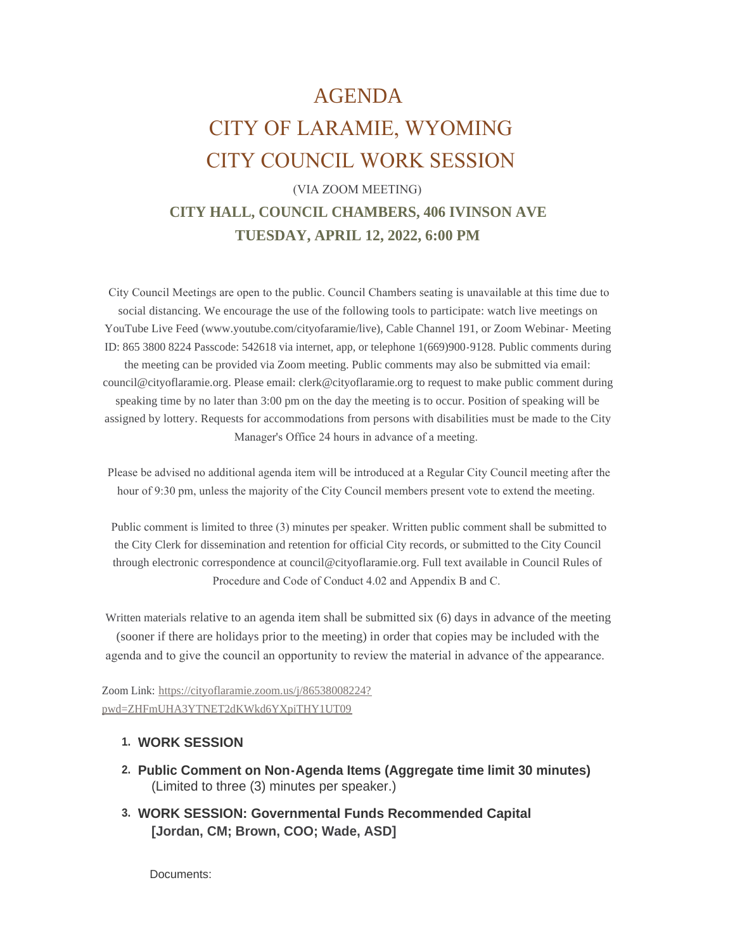# AGENDA CITY OF LARAMIE, WYOMING CITY COUNCIL WORK SESSION

## (VIA ZOOM MEETING) **CITY HALL, COUNCIL CHAMBERS, 406 IVINSON AVE TUESDAY, APRIL 12, 2022, 6:00 PM**

 City Council Meetings are open to the public. Council Chambers seating is unavailable at this time due to social distancing. We encourage the use of the following tools to participate: watch live meetings on YouTube Live Feed (www.youtube.com/cityofaramie/live), Cable Channel 191, or Zoom Webinar- Meeting ID: 865 3800 8224 Passcode: 542618 via internet, app, or telephone 1(669)900-9128. Public comments during the meeting can be provided via Zoom meeting. Public comments may also be submitted via email: council@cityoflaramie.org. Please email: clerk@cityoflaramie.org to request to make public comment during speaking time by no later than 3:00 pm on the day the meeting is to occur. Position of speaking will be assigned by lottery. Requests for accommodations from persons with disabilities must be made to the City Manager's Office 24 hours in advance of a meeting.

 Please be advised no additional agenda item will be introduced at a Regular City Council meeting after the hour of 9:30 pm, unless the majority of the City Council members present vote to extend the meeting.

 Public comment is limited to three (3) minutes per speaker. Written public comment shall be submitted to the City Clerk for dissemination and retention for official City records, or submitted to the City Council through electronic correspondence at council@cityoflaramie.org. Full text available in Council Rules of Procedure and Code of Conduct 4.02 and Appendix B and C.

Written materials relative to an agenda item shall be submitted six (6) days in advance of the meeting (sooner if there are holidays prior to the meeting) in order that copies may be included with the agenda and to give the council an opportunity to review the material in advance of the appearance.

Zoom Link: [https://cityoflaramie.zoom.us/j/86538008224?](https://cityoflaramie.zoom.us/j/86538008224?pwd=ZHFmUHA3YTNET2dKWkd6YXpiTHY1UT09) pwd=ZHFmUHA3YTNET2dKWkd6YXpiTHY1UT09

### **WORK SESSION 1.**

- **Public Comment on Non-Agenda Items (Aggregate time limit 30 minutes) 2.** (Limited to three (3) minutes per speaker.)
- **WORK SESSION: Governmental Funds Recommended Capital 3. [Jordan, CM; Brown, COO; Wade, ASD]**

Documents: